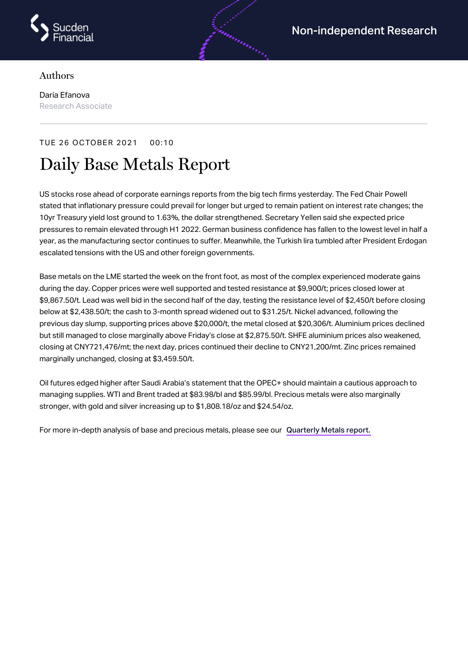

## Authors

Daria Efanova Research Associate

## TUE 26 OCTOBER 2021 00:10 Daily Base Metals Report

US stocks rose ahead of corporate earnings reports from the big tech firms yesterday. The Fed Chair Powell stated that inflationary pressure could prevail for longer but urged to remain patient on interest rate changes; the 10yr Treasury yield lost ground to 1.63%, the dollar strengthened. Secretary Yellen said she expected price pressures to remain elevated through H1 2022. German business confidence has fallen to the lowest level in half a year, as the manufacturing sector continues to suffer. Meanwhile, the Turkish lira tumbled after President Erdogan escalated tensions with the US and other foreign governments.

Base metals on the LME started the week on the front foot, as most of the complex experienced moderate gains during the day. Copper prices were well supported and tested resistance at \$9,900/t; prices closed lower at \$9,867.50/t. Lead was well bid in the second half of the day, testing the resistance level of \$2,450/t before closing below at \$2,438.50/t; the cash to 3-month spread widened out to \$31.25/t. Nickel advanced, following the previous day slump, supporting prices above \$20,000/t, the metal closed at \$20,306/t. Aluminium prices declined but still managed to close marginally above Friday's close at \$2,875.50/t. SHFE aluminium prices also weakened, closing at CNY721,476/mt; the next day, prices continued their decline to CNY21,200/mt. Zinc prices remained marginally unchanged, closing at \$3,459.50/t.

Oil futures edged higher after Saudi Arabia's statement that the OPEC+ should maintain a cautious approach to managing supplies. WTI and Brent traded at \$83.98/bl and \$85.99/bl. Precious metals were also marginally stronger, with gold and silver increasing up to \$1,808.18/oz and \$24.54/oz.

For more in-depth analysis of base and precious metals, please see our [Quarterly](https://www.sucdenfinancial.com/en/reports/quarterly-metals/qmr-q4-2021/) Metals report.